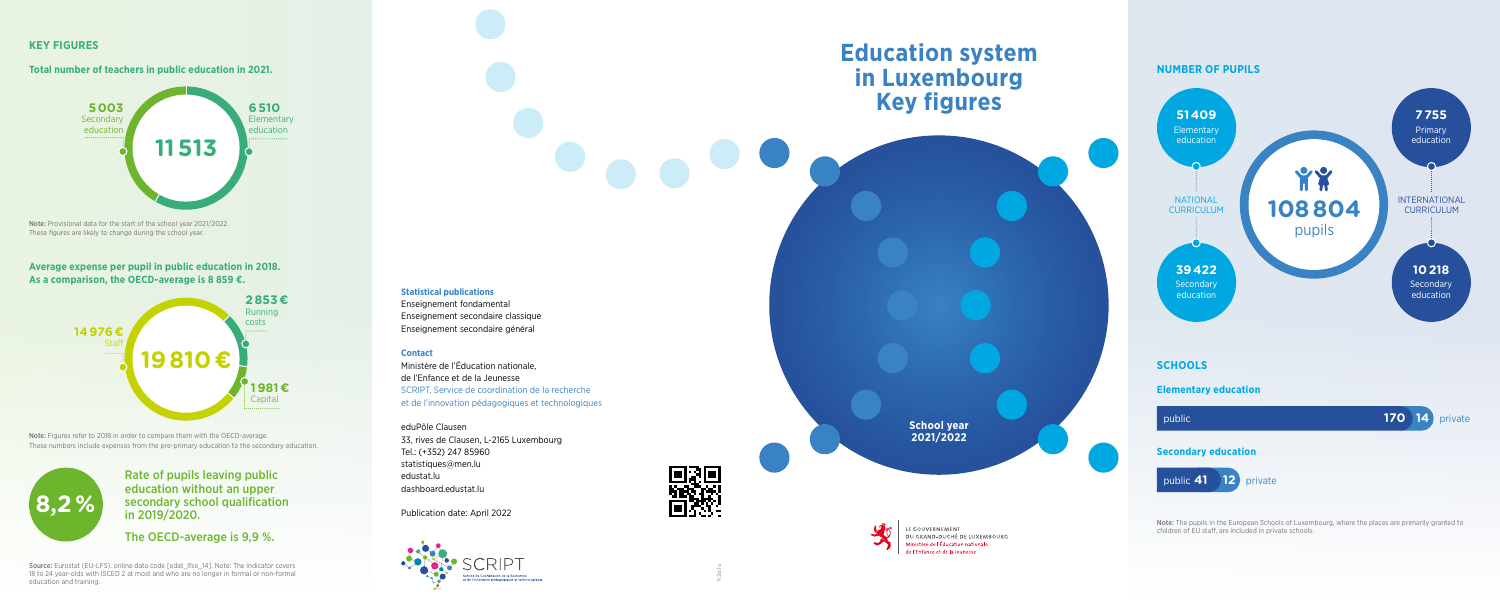# **Education system in Luxembourg Key figures**

**School year 2021/2022**

LE GOUVERNEMENT DU GRAND-DUCHÉ DE LUXEMBOURG Ministère de l'Éducation nationale, de l'Enfance et de la Jeunesse

### **Statistical publications**

Enseignement fondamental Enseignement secondaire classique Enseignement secondaire général

#### **Contact**

Ministère de l'Éducation nationale, de l'Enfance et de la Jeunesse SCRIPT, Service de coordination de la recherche et de l'innovation pédagogiques et technologiques

eduPôle Clausen 33, rives de Clausen, L-2165 Luxembourg Tel.: (+352) 247 85960 statistiques@men.lu edustat.lu dashboard.edustat.lu

Publication date: April 2022



# 思想



Note: The pupils in the European Schools of Luxembourg, where the places are primarily granted to children of EU staff, are included in private schools.

## **NUMBER OF PUPILS**

## **KEY FIGURES**

**Total number of teachers in public education in 2021.**

Note: Provisional data for the start of the school year 2021/2022. These figures are likely to change during the school year.

**Average expense per pupil in public education in 2018. As a comparison, the OECD-average is 8 859 €.**

Note: Figures refer to 2018 in order to compare them with the OECD-average. These numbers include expenses from the pre-primary education to the secondary education.

> Rate of pupils leaving public education without an upper secondary school qualification in 2019/2020.

The OECD-average is 9,9 %.

Source: Eurostat (EU-LFS). online data code [edat\_lfse\_14]. Note: The indicator covers 18 to 24 year-olds with ISCED 2 at most and who are no longer in formal or non-formal education and training.







h2a.lu